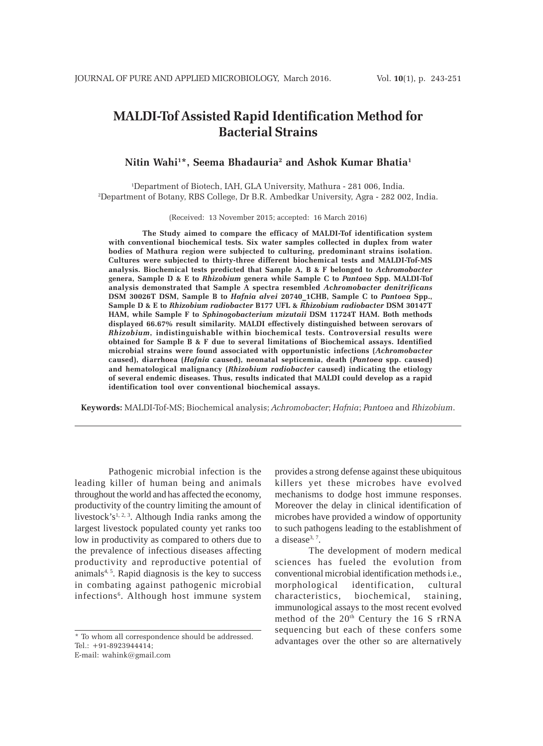# **MALDI-Tof Assisted Rapid Identification Method for Bacterial Strains**

# **Nitin Wahi1 \*, Seema Bhadauria2 and Ashok Kumar Bhatia1**

1 Department of Biotech, IAH, GLA University, Mathura - 281 006, India. 2 Department of Botany, RBS College, Dr B.R. Ambedkar University, Agra - 282 002, India.

(Received: 13 November 2015; accepted: 16 March 2016)

**The Study aimed to compare the efficacy of MALDI-Tof identification system with conventional biochemical tests. Six water samples collected in duplex from water bodies of Mathura region were subjected to culturing, predominant strains isolation. Cultures were subjected to thirty-three different biochemical tests and MALDI-Tof-MS analysis. Biochemical tests predicted that Sample A, B & F belonged to** *Achromobacter* **genera, Sample D & E to** *Rhizobium* **genera while Sample C to** *Pantoea* **Spp. MALDI-Tof analysis demonstrated that Sample A spectra resembled** *Achromobacter denitrificans* **DSM 30026T DSM, Sample B to** *Hafnia alvei* **20740\_1CHB, Sample C to** *Pantoea* **Spp., Sample D & E to** *Rhizobium radiobacter* **B177 UFL &** *Rhizobium radiobacter* **DSM 30147T HAM, while Sample F to** *Sphinogobacterium mizutaii* **DSM 11724T HAM. Both methods displayed 66.67% result similarity. MALDI effectively distinguished between serovars of** *Rhizobium***, indistinguishable within biochemical tests. Controversial results were obtained for Sample B & F due to several limitations of Biochemical assays. Identified microbial strains were found associated with opportunistic infections (***Achromobacter* **caused), diarrhoea (***Hafnia* **caused), neonatal septicemia, death (***Pantoea* **spp. caused) and hematological malignancy (***Rhizobium radiobacter* **caused) indicating the etiology of several endemic diseases. Thus, results indicated that MALDI could develop as a rapid identification tool over conventional biochemical assays.**

**Keywords:** MALDI-Tof-MS; Biochemical analysis; *Achromobacter*; *Hafnia*; *Pantoea* and *Rhizobium*.

Pathogenic microbial infection is the leading killer of human being and animals throughout the world and has affected the economy, productivity of the country limiting the amount of livestock's<sup>1, 2, 3</sup>. Although India ranks among the largest livestock populated county yet ranks too low in productivity as compared to others due to the prevalence of infectious diseases affecting productivity and reproductive potential of  $animals<sup>4, 5</sup>$ . Rapid diagnosis is the key to success in combating against pathogenic microbial infections<sup>6</sup>. Although host immune system

E-mail: wahink@gmail.com

provides a strong defense against these ubiquitous killers yet these microbes have evolved mechanisms to dodge host immune responses. Moreover the delay in clinical identification of microbes have provided a window of opportunity to such pathogens leading to the establishment of a disease $3, 7$ .

The development of modern medical sciences has fueled the evolution from conventional microbial identification methods i.e., morphological identification, cultural characteristics, biochemical, staining, immunological assays to the most recent evolved method of the  $20<sup>th</sup>$  Century the 16 S rRNA sequencing but each of these confers some advantages over the other so are alternatively

<sup>\*</sup> To whom all correspondence should be addressed. Tel.: +91-8923944414;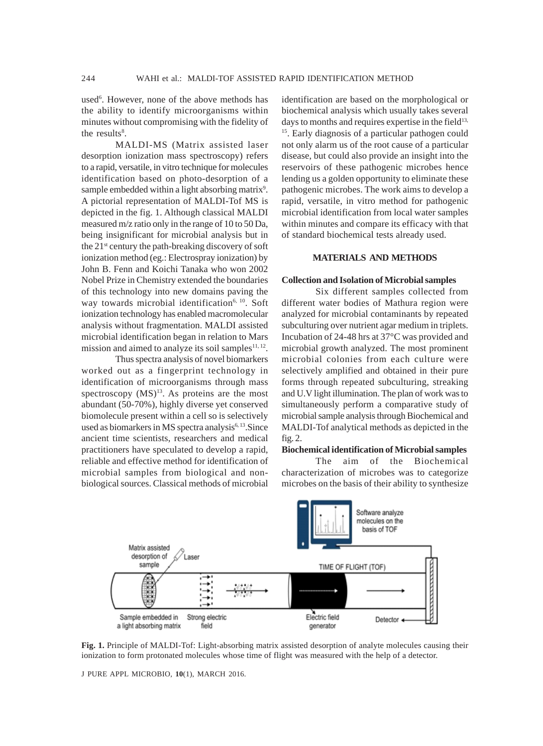used<sup>6</sup>. However, none of the above methods has the ability to identify microorganisms within minutes without compromising with the fidelity of the results<sup>8</sup>.

MALDI-MS (Matrix assisted laser desorption ionization mass spectroscopy) refers to a rapid, versatile, in vitro technique for molecules identification based on photo-desorption of a sample embedded within a light absorbing matrix<sup>9</sup>. A pictorial representation of MALDI-Tof MS is depicted in the fig. 1. Although classical MALDI measured m/z ratio only in the range of 10 to 50 Da, being insignificant for microbial analysis but in the 21st century the path-breaking discovery of soft ionization method (eg.: Electrospray ionization) by John B. Fenn and Koichi Tanaka who won 2002 Nobel Prize in Chemistry extended the boundaries of this technology into new domains paving the way towards microbial identification<sup>6, 10</sup>. Soft ionization technology has enabled macromolecular analysis without fragmentation. MALDI assisted microbial identification began in relation to Mars mission and aimed to analyze its soil samples $11, 12$ .

Thus spectra analysis of novel biomarkers worked out as a fingerprint technology in identification of microorganisms through mass spectroscopy  $(MS)^{13}$ . As proteins are the most abundant (50-70%), highly diverse yet conserved biomolecule present within a cell so is selectively used as biomarkers in MS spectra analysis $6,13$ . Since ancient time scientists, researchers and medical practitioners have speculated to develop a rapid, reliable and effective method for identification of microbial samples from biological and nonbiological sources. Classical methods of microbial

identification are based on the morphological or biochemical analysis which usually takes several days to months and requires expertise in the field $13$ , <sup>15</sup>. Early diagnosis of a particular pathogen could not only alarm us of the root cause of a particular disease, but could also provide an insight into the reservoirs of these pathogenic microbes hence lending us a golden opportunity to eliminate these pathogenic microbes. The work aims to develop a rapid, versatile, in vitro method for pathogenic microbial identification from local water samples within minutes and compare its efficacy with that of standard biochemical tests already used.

# **MATERIALS AND METHODS**

#### **Collection and Isolation of Microbial samples**

Six different samples collected from different water bodies of Mathura region were analyzed for microbial contaminants by repeated subculturing over nutrient agar medium in triplets. Incubation of 24-48 hrs at 37°C was provided and microbial growth analyzed. The most prominent microbial colonies from each culture were selectively amplified and obtained in their pure forms through repeated subculturing, streaking and U.V light illumination. The plan of work was to simultaneously perform a comparative study of microbial sample analysis through Biochemical and MALDI-Tof analytical methods as depicted in the fig. 2.

#### **Biochemical identification of Microbial samples**

The aim of the Biochemical characterization of microbes was to categorize microbes on the basis of their ability to synthesize



**Fig. 1.** Principle of MALDI-Tof: Light-absorbing matrix assisted desorption of analyte molecules causing their ionization to form protonated molecules whose time of flight was measured with the help of a detector.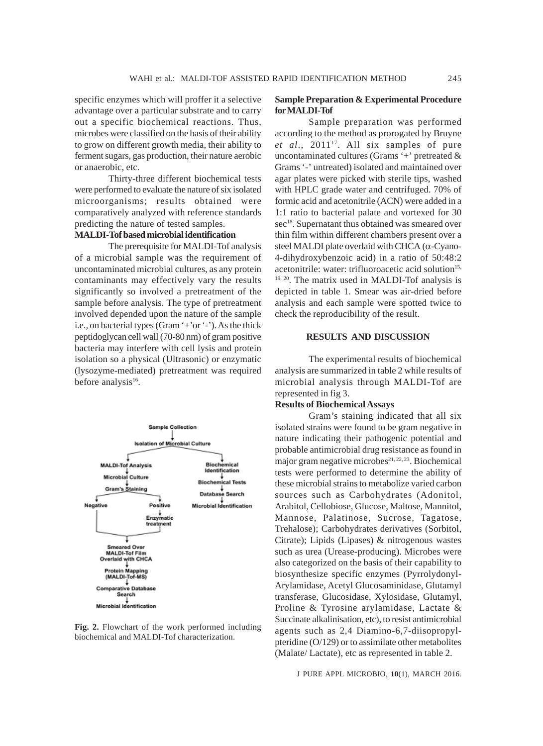specific enzymes which will proffer it a selective advantage over a particular substrate and to carry out a specific biochemical reactions. Thus, microbes were classified on the basis of their ability to grow on different growth media, their ability to ferment sugars, gas production, their nature aerobic or anaerobic, etc.

Thirty-three different biochemical tests were performed to evaluate the nature of six isolated microorganisms; results obtained were comparatively analyzed with reference standards predicting the nature of tested samples.

# **MALDI-Tof based microbial identification**

The prerequisite for MALDI-Tof analysis of a microbial sample was the requirement of uncontaminated microbial cultures, as any protein contaminants may effectively vary the results significantly so involved a pretreatment of the sample before analysis. The type of pretreatment involved depended upon the nature of the sample i.e., on bacterial types (Gram '+'or '-'). As the thick peptidoglycan cell wall (70-80 nm) of gram positive bacteria may interfere with cell lysis and protein isolation so a physical (Ultrasonic) or enzymatic (lysozyme-mediated) pretreatment was required before analysis<sup>16</sup>.



**Fig. 2.** Flowchart of the work performed including biochemical and MALDI-Tof characterization.

#### **Sample Preparation & Experimental Procedure for MALDI-Tof**

Sample preparation was performed according to the method as prorogated by Bruyne *et al*., 201117. All six samples of pure uncontaminated cultures (Grams '+' pretreated & Grams '-' untreated) isolated and maintained over agar plates were picked with sterile tips, washed with HPLC grade water and centrifuged. 70% of formic acid and acetonitrile (ACN) were added in a 1:1 ratio to bacterial palate and vortexed for 30 sec<sup>18</sup>. Supernatant thus obtained was smeared over thin film within different chambers present over a steel MALDI plate overlaid with CHCA (α-Cyano-4-dihydroxybenzoic acid) in a ratio of 50:48:2 acetonitrile: water: trifluoroacetic acid solution<sup>15,</sup> 19, 20. The matrix used in MALDI-Tof analysis is depicted in table 1. Smear was air-dried before analysis and each sample were spotted twice to check the reproducibility of the result.

#### **RESULTS AND DISCUSSION**

The experimental results of biochemical analysis are summarized in table 2 while results of microbial analysis through MALDI-Tof are represented in fig 3.

# **Results of Biochemical Assays**

Gram's staining indicated that all six isolated strains were found to be gram negative in nature indicating their pathogenic potential and probable antimicrobial drug resistance as found in major gram negative microbes $21, 22, 23$ . Biochemical tests were performed to determine the ability of these microbial strains to metabolize varied carbon sources such as Carbohydrates (Adonitol, Arabitol, Cellobiose, Glucose, Maltose, Mannitol, Mannose, Palatinose, Sucrose, Tagatose, Trehalose); Carbohydrates derivatives (Sorbitol, Citrate); Lipids (Lipases) & nitrogenous wastes such as urea (Urease-producing). Microbes were also categorized on the basis of their capability to biosynthesize specific enzymes (Pyrrolydonyl-Arylamidase, Acetyl Glucosaminidase, Glutamyl transferase, Glucosidase, Xylosidase, Glutamyl, Proline & Tyrosine arylamidase, Lactate & Succinate alkalinisation, etc), to resist antimicrobial agents such as 2,4 Diamino-6,7-diisopropylpteridine (O/129) or to assimilate other metabolites (Malate/ Lactate), etc as represented in table 2.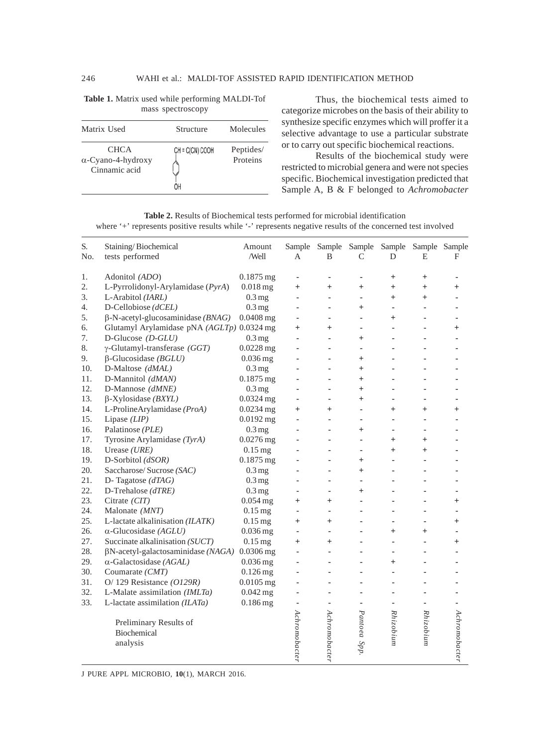| ------ - - - - - - - - - - - - -                          |                 |                                    |  |  |  |  |  |
|-----------------------------------------------------------|-----------------|------------------------------------|--|--|--|--|--|
| Matrix Used                                               | Structure       | Molecules<br>Peptides/<br>Proteins |  |  |  |  |  |
| <b>CHCA</b><br>$\alpha$ -Cyano-4-hydroxy<br>Cinnamic acid | CH = C(CN) COOH |                                    |  |  |  |  |  |

**Table 1.** Matrix used while performing MALDI-Tof mass spectroscopy

Thus, the biochemical tests aimed to categorize microbes on the basis of their ability to synthesize specific enzymes which will proffer it a selective advantage to use a particular substrate or to carry out specific biochemical reactions.

Results of the biochemical study were restricted to microbial genera and were not species specific. Biochemical investigation predicted that Sample A, B & F belonged to *Achromobacter*

**Table 2.** Results of Biochemical tests performed for microbial identification where '+' represents positive results while '-' represents negative results of the concerned test involved

| S.<br>No. | Staining/Biochemical<br>tests performed    | Amount<br>/Well     | А             | Sample Sample<br>B | Sample<br>$\mathcal{C}$ | D              | Sample Sample Sample<br>E | F             |
|-----------|--------------------------------------------|---------------------|---------------|--------------------|-------------------------|----------------|---------------------------|---------------|
| 1.        | Adonitol (ADO)                             | $0.1875$ mg         | ×,            | ä,                 | ä,                      | $^{+}$         | $^{+}$                    |               |
| 2.        | L-Pyrrolidonyl-Arylamidase (PyrA)          | $0.018$ mg          | $^{+}$        | $^{+}$             | $^{+}$                  | $^{+}$         | $^{+}$                    | $\,{}^{+}\,$  |
| 3.        | L-Arabitol (IARL)                          | $0.3 \,\mathrm{mg}$ | ä,            | ä,                 | ä,                      | $\ddot{}$      | $^{+}$                    |               |
| 4.        | D-Cellobiose (dCEL)                        | $0.3 \text{ mg}$    | ä,            | ÷,                 | $^{+}$                  | $\sim$         |                           |               |
| 5.        | $\beta$ -N-acetyl-glucosaminidase (BNAG)   | $0.0408$ mg         |               | ٠                  | ä,                      | $^{+}$         |                           |               |
| 6.        | Glutamyl Arylamidase pNA (AGLTp) 0.0324 mg |                     | $^{+}$        | $\ddot{}$          | ÷.                      |                |                           | $^{+}$        |
| 7.        | D-Glucose $(D$ -GLU)                       | $0.3 \text{ mg}$    |               | ÷,                 | $\overline{+}$          |                |                           |               |
| 8.        | $\gamma$ -Glutamyl-transferase (GGT)       | $0.0228$ mg         |               | ä,                 | ä,                      |                |                           |               |
| 9.        | $\beta$ -Glucosidase ( <i>BGLU</i> )       | $0.036$ mg          |               | ÷,                 | $^{+}$                  |                |                           |               |
| 10.       | D-Maltose (dMAL)                           | $0.3 \,\mathrm{mg}$ |               |                    | $^{+}$                  |                |                           |               |
| 11.       | D-Mannitol (dMAN)                          | 0.1875 mg           |               | ä,                 | $^{+}$                  |                |                           |               |
| 12.       | D-Mannose (dMNE)                           | $0.3 \text{ mg}$    | ä,            | ÷                  | $+$                     |                |                           |               |
| 13.       | $\beta$ -Xylosidase (BXYL)                 | $0.0324$ mg         | ٠             | ٠                  | $+$                     | ٠              | ä,                        |               |
| 14.       | L-ProlineArylamidase (ProA)                | $0.0234$ mg         | $^{+}$        | $^{+}$             | ä,                      | $^{+}$         | $^{+}$                    | $\,{}^{+}\,$  |
| 15.       | Lipase $(LIP)$                             | $0.0192$ mg         |               | ٠                  | ä,                      | ٠              |                           |               |
| 16.       | Palatinose (PLE)                           | $0.3 \text{ mg}$    |               | ۰                  | $^{+}$                  | ٠              |                           |               |
| 17.       | Tyrosine Arylamidase (TyrA)                | $0.0276$ mg         | j.            | ÷                  | ä,                      | $^{+}$         | $^{+}$                    |               |
| 18.       | Urease $(URE)$                             | $0.15$ mg           |               | ä,                 | ÷,                      | $^{+}$         | $^{+}$                    |               |
| 19.       | D-Sorbitol (dSOR)                          | $0.1875$ mg         |               | ٠                  | $+$                     |                |                           |               |
| 20.       | Saccharose/Sucrose (SAC)                   | $0.3 \text{ mg}$    |               | ä,                 | $+$                     |                |                           |               |
| 21.       | D- Tagatose $(dTAG)$                       | $0.3 \text{ mg}$    |               | ÷                  | í.                      |                |                           |               |
| 22.       | D-Trehalose (dTRE)                         | $0.3 \text{ mg}$    | ×             | ä,                 | $^{+}$                  |                |                           |               |
| 23.       | Citrate (CIT)                              | $0.054$ mg          | $^{+}$        | $^{+}$             | ä,                      |                |                           | $\,{}^{+}\,$  |
| 24.       | Malonate (MNT)                             | $0.15$ mg           | ×,            | ä,                 | ä,                      |                |                           |               |
| 25.       | L-lactate alkalinisation (ILATK)           | $0.15$ mg           | $^{+}$        | $^{+}$             | ä,                      | $\overline{a}$ |                           | $^{+}$        |
| 26.       | $\alpha$ -Glucosidase (AGLU)               | $0.036$ mg          | ×             | ٠                  | ä,                      | $^{+}$         | $^{+}$                    |               |
| 27.       | Succinate alkalinisation (SUCT)            | $0.15$ mg           | $^{+}$        | $^{+}$             | ä,                      |                |                           | $^{+}$        |
| 28.       | $\beta$ N-acetyl-galactosaminidase (NAGA)  | $0.0306$ mg         |               |                    |                         |                |                           |               |
| 29.       | $\alpha$ -Galactosidase (AGAL)             | $0.036$ mg          |               | ٠                  |                         | $^{+}$         |                           |               |
| 30.       | Coumarate (CMT)                            | $0.126$ mg          |               |                    |                         |                |                           |               |
| 31.       | O/ 129 Resistance $(O129R)$                | $0.0105$ mg         |               |                    |                         |                |                           |               |
| 32.       | L-Malate assimilation (IMLTa)              | $0.042$ mg          |               |                    |                         |                |                           |               |
| 33.       | L-lactate assimilation $(ILATA)$           | $0.186$ mg          |               |                    | ä,                      |                |                           |               |
|           | Preliminary Results of                     |                     |               |                    |                         | Rhizobium      | Rhizobium                 |               |
|           | Biochemical                                |                     |               |                    |                         |                |                           |               |
|           | analysis                                   |                     | Achromobacter | Achromobacter      | Pantoea Spp             |                |                           | Achromobacter |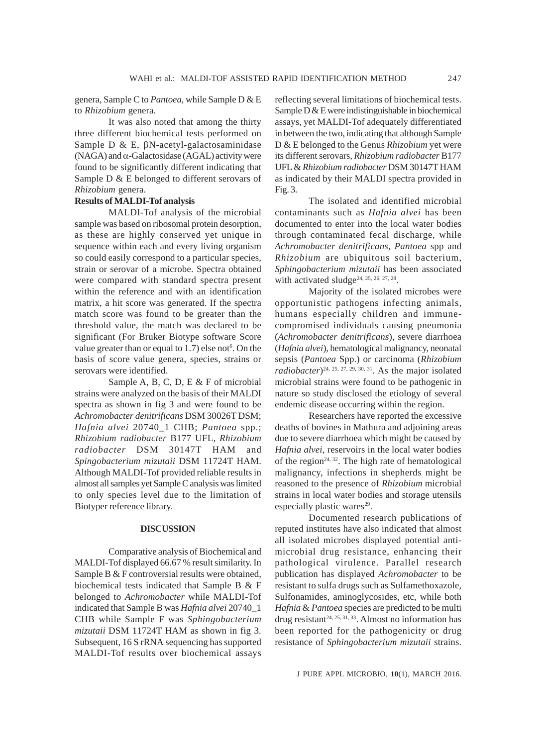genera, Sample C to *Pantoea*, while Sample D & E to *Rhizobium* genera.

It was also noted that among the thirty three different biochemical tests performed on Sample D & E, βN-acetyl-galactosaminidase (NAGA) and  $\alpha$ -Galactosidase (AGAL) activity were found to be significantly different indicating that Sample D & E belonged to different serovars of *Rhizobium* genera.

#### **Results of MALDI-Tof analysis**

MALDI-Tof analysis of the microbial sample was based on ribosomal protein desorption, as these are highly conserved yet unique in sequence within each and every living organism so could easily correspond to a particular species, strain or serovar of a microbe. Spectra obtained were compared with standard spectra present within the reference and with an identification matrix, a hit score was generated. If the spectra match score was found to be greater than the threshold value, the match was declared to be significant (For Bruker Biotype software Score value greater than or equal to  $1.7$ ) else not $6$ . On the basis of score value genera, species, strains or serovars were identified.

Sample A, B, C, D, E & F of microbial strains were analyzed on the basis of their MALDI spectra as shown in fig 3 and were found to be *Achromobacter denitrificans* DSM 30026T DSM; *Hafnia alvei* 20740\_1 CHB; *Pantoea* spp.; *Rhizobium radiobacter* B177 UFL, *Rhizobium radiobacter* DSM 30147T HAM and *Spingobacterium mizutaii* DSM 11724T HAM. Although MALDI-Tof provided reliable results in almost all samples yet Sample C analysis was limited to only species level due to the limitation of Biotyper reference library.

#### **DISCUSSION**

Comparative analysis of Biochemical and MALDI-Tof displayed 66.67 % result similarity. In Sample B & F controversial results were obtained, biochemical tests indicated that Sample B & F belonged to *Achromobacter* while MALDI-Tof indicated that Sample B was *Hafnia alvei* 20740\_1 CHB while Sample F was *Sphingobacterium mizutaii* DSM 11724T HAM as shown in fig 3. Subsequent, 16 S rRNA sequencing has supported MALDI-Tof results over biochemical assays

reflecting several limitations of biochemical tests. Sample D & E were indistinguishable in biochemical assays, yet MALDI-Tof adequately differentiated in between the two, indicating that although Sample D & E belonged to the Genus *Rhizobium* yet were its different serovars, *Rhizobium radiobacter* B177 UFL & *Rhizobium radiobacter* DSM 30147T HAM as indicated by their MALDI spectra provided in Fig. 3.

The isolated and identified microbial contaminants such as *Hafnia alvei* has been documented to enter into the local water bodies through contaminated fecal discharge, while *Achromobacter denitrificans*, *Pantoea* spp and *Rhizobium* are ubiquitous soil bacterium, *Sphingobacterium mizutaii* has been associated with activated sludge<sup>24, 25, 26, 27, 28</sup>.

Majority of the isolated microbes were opportunistic pathogens infecting animals, humans especially children and immunecompromised individuals causing pneumonia (*Achromobacter denitrificans*), severe diarrhoea (*Hafnia alvei*), hematological malignancy, neonatal sepsis (*Pantoea* Spp.) or carcinoma (*Rhizobium radiobacter*)<sup>24, 25, 27, 29, 30, 31. As the major isolated</sup> microbial strains were found to be pathogenic in nature so study disclosed the etiology of several endemic disease occurring within the region.

Researchers have reported the excessive deaths of bovines in Mathura and adjoining areas due to severe diarrhoea which might be caused by *Hafnia alvei*, reservoirs in the local water bodies of the region<sup> $24, 32$ </sup>. The high rate of hematological malignancy, infections in shepherds might be reasoned to the presence of *Rhizobium* microbial strains in local water bodies and storage utensils especially plastic wares $29$ .

Documented research publications of reputed institutes have also indicated that almost all isolated microbes displayed potential antimicrobial drug resistance, enhancing their pathological virulence. Parallel research publication has displayed *Achromobacter* to be resistant to sulfa drugs such as Sulfamethoxazole, Sulfonamides, aminoglycosides, etc, while both *Hafnia* & *Pantoea* species are predicted to be multi drug resistant<sup>24, 25, 31, 33</sup>. Almost no information has been reported for the pathogenicity or drug resistance of *Sphingobacterium mizutaii* strains.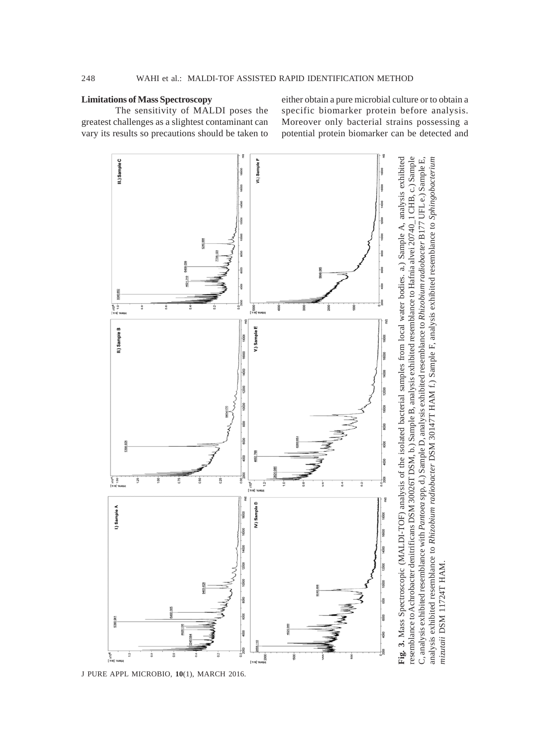## **Limitations of Mass Spectroscopy**

The sensitivity of MALDI poses the greatest challenges as a slightest contaminant can vary its results so precautions should be taken to either obtain a pure microbial culture or to obtain a specific biomarker protein before analysis. Moreover only bacterial strains possessing a potential protein biomarker can be detected and

C, analysis exhibited resemblance with Pantoea spp, d.) Sample D, analysis exhibited resemblance to Rhizobium radiobacter B177 UFL e.) Sample E,

analysis exhibited resemblance to Rhizobium radiobacter DSM 30147T HAM f.) Sample F, analysis exhibited resemblance to Sphingobacterium

mizutaii DSM 11724T HAM.



J PURE APPL MICROBIO*,* **10**(1), MARCH 2016.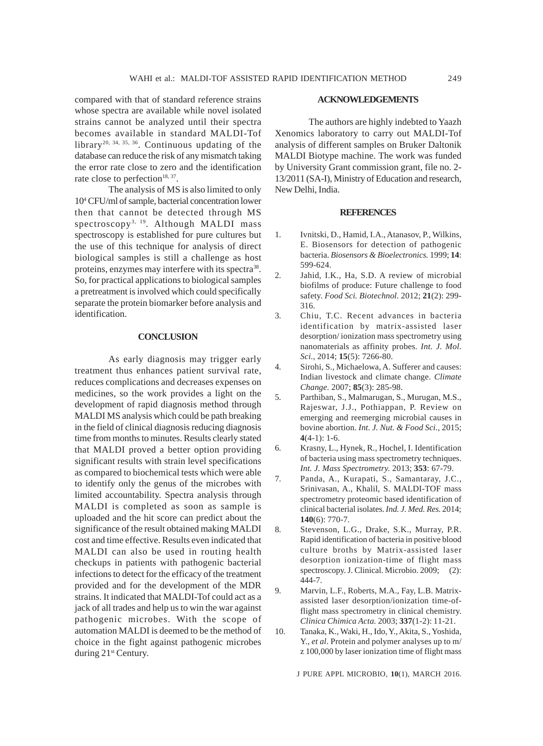compared with that of standard reference strains whose spectra are available while novel isolated strains cannot be analyzed until their spectra becomes available in standard MALDI-Tof library20, 34, 35, 36. Continuous updating of the database can reduce the risk of any mismatch taking the error rate close to zero and the identification rate close to perfection $18, 37$ .

The analysis of MS is also limited to only 104 CFU/ml of sample, bacterial concentration lower then that cannot be detected through MS spectroscopy<sup>3, 19</sup>. Although MALDI mass spectroscopy is established for pure cultures but the use of this technique for analysis of direct biological samples is still a challenge as host proteins, enzymes may interfere with its spectra<sup>38</sup>. So, for practical applications to biological samples a pretreatment is involved which could specifically separate the protein biomarker before analysis and identification.

# **CONCLUSION**

As early diagnosis may trigger early treatment thus enhances patient survival rate, reduces complications and decreases expenses on medicines, so the work provides a light on the development of rapid diagnosis method through MALDI MS analysis which could be path breaking in the field of clinical diagnosis reducing diagnosis time from months to minutes. Results clearly stated that MALDI proved a better option providing significant results with strain level specifications as compared to biochemical tests which were able to identify only the genus of the microbes with limited accountability. Spectra analysis through MALDI is completed as soon as sample is uploaded and the hit score can predict about the significance of the result obtained making MALDI cost and time effective. Results even indicated that MALDI can also be used in routing health checkups in patients with pathogenic bacterial infections to detect for the efficacy of the treatment provided and for the development of the MDR strains. It indicated that MALDI-Tof could act as a jack of all trades and help us to win the war against pathogenic microbes. With the scope of automation MALDI is deemed to be the method of choice in the fight against pathogenic microbes during 21<sup>st</sup> Century.

The authors are highly indebted to Yaazh Xenomics laboratory to carry out MALDI-Tof analysis of different samples on Bruker Daltonik MALDI Biotype machine. The work was funded by University Grant commission grant, file no. 2- 13/2011 (SA-I), Ministry of Education and research, New Delhi, India.

#### **REFERENCES**

- 1. Ivnitski, D., Hamid, I.A., Atanasov, P., Wilkins, E. Biosensors for detection of pathogenic bacteria. *Biosensors & Bioelectronics.* 1999; **14**: 599-624.
- 2. Jahid, I.K., Ha, S.D. A review of microbial biofilms of produce: Future challenge to food safety. *Food Sci. Biotechnol.* 2012; **21**(2): 299- 316.
- 3. Chiu, T.C. Recent advances in bacteria identification by matrix-assisted laser desorption/ ionization mass spectrometry using nanomaterials as affinity probes. *Int. J. Mol. Sci.,* 2014; **15**(5): 7266-80.
- 4. Sirohi, S., Michaelowa, A. Sufferer and causes: Indian livestock and climate change. *Climate Change.* 2007; **85**(3): 285-98.
- 5. Parthiban, S., Malmarugan, S., Murugan, M.S., Rajeswar, J.J., Pothiappan, P. Review on emerging and reemerging microbial causes in bovine abortion. *Int. J. Nut. & Food Sci.,* 2015; **4**(4-1): 1-6.
- 6. Krasny, L., Hynek, R., Hochel, I. Identification of bacteria using mass spectrometry techniques. *Int. J. Mass Spectrometry.* 2013; **353**: 67-79.
- 7. Panda, A., Kurapati, S., Samantaray, J.C., Srinivasan, A., Khalil, S. MALDI-TOF mass spectrometry proteomic based identification of clinical bacterial isolates. *Ind. J. Med. Res.* 2014; **140**(6): 770-7.
- 8. Stevenson, L.G., Drake, S.K., Murray, P.R. Rapid identification of bacteria in positive blood culture broths by Matrix-assisted laser desorption ionization-time of flight mass spectroscopy. J. Clinical. Microbio. 2009; (2): 444-7.
- 9. Marvin, L.F., Roberts, M.A., Fay, L.B. Matrixassisted laser desorption/ionization time-offlight mass spectrometry in clinical chemistry. *Clinica Chimica Acta.* 2003; **337**(1-2): 11-21.
- 10. Tanaka, K., Waki, H., Ido, Y., Akita, S., Yoshida, Y., *et al*. Protein and polymer analyses up to m/ z 100,000 by laser ionization time of flight mass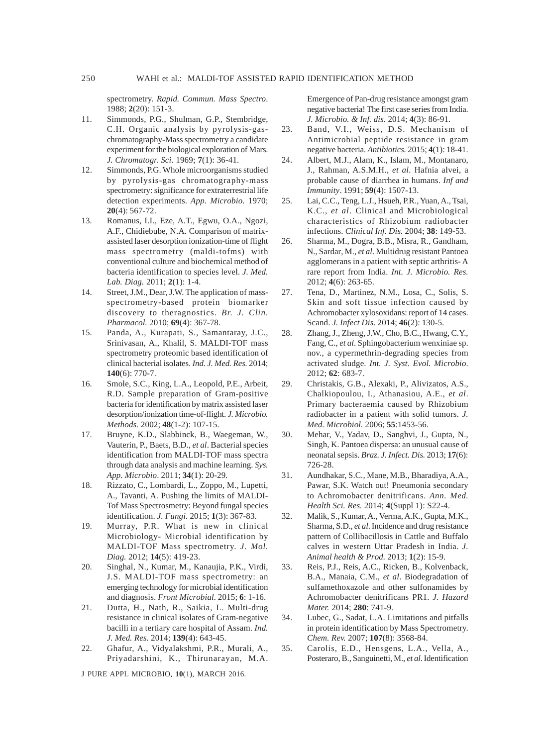spectrometry. *Rapid. Commun. Mass Spectro*. 1988; **2**(20): 151-3.

- 11. Simmonds, P.G., Shulman, G.P., Stembridge, C.H. Organic analysis by pyrolysis-gaschromatography-Mass spectrometry a candidate experiment for the biological exploration of Mars. *J. Chromatogr. Sci.* 1969; **7**(1): 36-41.
- 12. Simmonds, P.G. Whole microorganisms studied by pyrolysis-gas chromatography-mass spectrometry: significance for extraterrestrial life detection experiments. *App. Microbio.* 1970; **20**(4): 567-72.
- 13. Romanus, I.I., Eze, A.T., Egwu, O.A., Ngozi, A.F., Chidiebube, N.A. Comparison of matrixassisted laser desorption ionization-time of flight mass spectrometry (maldi-tofms) with conventional culture and biochemical method of bacteria identification to species level. *J. Med. Lab. Diag.* 2011; **2**(1): 1-4.
- 14. Street, J.M., Dear, J.W. The application of massspectrometry-based protein biomarker discovery to theragnostics. *Br. J. Clin. Pharmacol.* 2010; **69**(4): 367-78.
- 15. Panda, A., Kurapati, S., Samantaray, J.C., Srinivasan, A., Khalil, S. MALDI-TOF mass spectrometry proteomic based identification of clinical bacterial isolates. *Ind. J. Med. Res.* 2014; **140**(6): 770-7.
- 16. Smole, S.C., King, L.A., Leopold, P.E., Arbeit, R.D. Sample preparation of Gram-positive bacteria for identification by matrix assisted laser desorption/ionization time-of-flight. *J. Microbio. Methods.* 2002; **48**(1-2): 107-15.
- 17. Bruyne, K.D., Slabbinck, B., Waegeman, W., Vauterin, P., Baets, B.D., *et al*. Bacterial species identification from MALDI-TOF mass spectra through data analysis and machine learning. *Sys. App. Microbio*. 2011; **34**(1): 20-29.
- 18. Rizzato, C., Lombardi, L., Zoppo, M., Lupetti, A., Tavanti, A. Pushing the limits of MALDI-Tof Mass Spectrosmetry: Beyond fungal species identification. *J. Fungi.* 2015; **1**(3): 367-83.
- 19. Murray, P.R. What is new in clinical Microbiology- Microbial identification by MALDI-TOF Mass spectrometry. *J. Mol. Diag.* 2012; **14**(5): 419-23.
- 20. Singhal, N., Kumar, M., Kanaujia, P.K., Virdi, J.S. MALDI-TOF mass spectrometry: an emerging technology for microbial identification and diagnosis. *Front Microbial.* 2015; **6**: 1-16.
- 21. Dutta, H., Nath, R., Saikia, L. Multi-drug resistance in clinical isolates of Gram-negative bacilli in a tertiary care hospital of Assam. *Ind. J. Med. Res.* 2014; **139**(4): 643-45.
- 22. Ghafur, A., Vidyalakshmi, P.R., Murali, A., Priyadarshini, K., Thirunarayan, M.A.

J PURE APPL MICROBIO*,* **10**(1), MARCH 2016.

Emergence of Pan-drug resistance amongst gram negative bacteria! The first case series from India. *J. Microbio. & Inf. dis.* 2014; **4**(3): 86-91.

- 23. Band, V.I., Weiss, D.S. Mechanism of Antimicrobial peptide resistance in gram negative bacteria. *Antibiotics.* 2015; **4**(1): 18-41.
- 24. Albert, M.J., Alam, K., Islam, M., Montanaro, J., Rahman, A.S.M.H., *et al*. Hafnia alvei, a probable cause of diarrhea in humans. *Inf and Immunity*. 1991; **59**(4): 1507-13.
- 25. Lai, C.C., Teng, L.J., Hsueh, P.R., Yuan, A., Tsai, K.C., *et al*. Clinical and Microbiological characteristics of Rhizobium radiobacter infections. *Clinical Inf. Dis.* 2004; **38**: 149-53.
- 26. Sharma, M., Dogra, B.B., Misra, R., Gandham, N., Sardar, M., *et al*. Multidrug resistant Pantoea agglomerans in a patient with septic arthritis- A rare report from India. *Int. J. Microbio. Res.* 2012; **4**(6): 263-65.
- 27. Tena, D., Martinez, N.M., Losa, C., Solis, S. Skin and soft tissue infection caused by Achromobacter xylosoxidans: report of 14 cases. Scand. *J. Infect Dis.* 2014; **46**(2): 130-5.
- 28. Zhang, J., Zheng, J.W., Cho, B.C., Hwang, C.Y., Fang, C., *et al*. Sphingobacterium wenxiniae sp. nov., a cypermethrin-degrading species from activated sludge. *Int. J. Syst. Evol. Microbio*. 2012; **62**: 683-7.
- 29. Christakis, G.B., Alexaki, P., Alivizatos, A.S., Chalkiopoulou, I., Athanasiou, A.E., *et al*. Primary bacteraemia caused by Rhizobium radiobacter in a patient with solid tumors. *J. Med. Microbiol.* 2006; **55**:1453-56.
- 30. Mehar, V., Yadav, D., Sanghvi, J., Gupta, N., Singh, K. Pantoea dispersa: an unusual cause of neonatal sepsis. *Braz. J. Infect. Dis.* 2013; **17**(6): 726-28.
- 31. Aundhakar, S.C., Mane, M.B., Bharadiya, A.A., Pawar, S.K. Watch out! Pneumonia secondary to Achromobacter denitrificans. *Ann. Med. Health Sci. Res.* 2014; **4**(Suppl 1): S22-4.
- 32. Malik, S., Kumar, A., Verma, A.K., Gupta, M.K., Sharma, S.D., *et al*. Incidence and drug resistance pattern of Collibacillosis in Cattle and Buffalo calves in western Uttar Pradesh in India. *J. Animal health & Prod.* 2013; **1**(2): 15-9.
- 33. Reis, P.J., Reis, A.C., Ricken, B., Kolvenback, B.A., Manaia, C.M., *et al*. Biodegradation of sulfamethoxazole and other sulfonamides by Achromobacter denitrificans PR1. *J. Hazard Mater.* 2014; **280**: 741-9.
- 34. Lubec, G., Sadat, L.A. Limitations and pitfalls in protein identification by Mass Spectrometry. *Chem. Rev.* 2007; **107**(8): 3568-84.
- 35. Carolis, E.D., Hensgens, L.A., Vella, A., Posteraro, B., Sanguinetti, M., *et al*. Identification